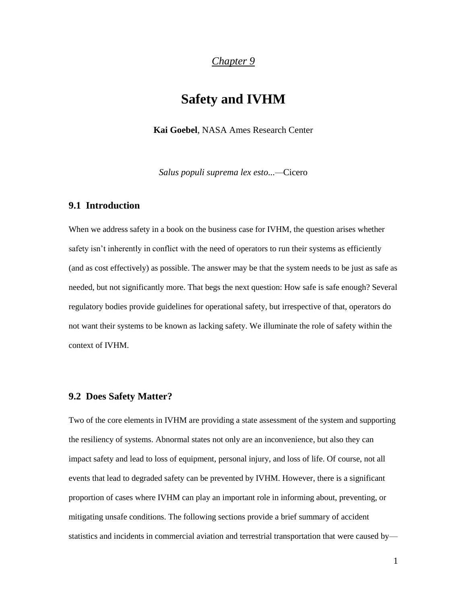# *Chapter 9*

# **Safety and IVHM**

**Kai Goebel**, NASA Ames Research Center

*Salus populi suprema lex esto...—*Cicero

# **9.1 Introduction**

When we address safety in a book on the business case for IVHM, the question arises whether safety isn't inherently in conflict with the need of operators to run their systems as efficiently (and as cost effectively) as possible. The answer may be that the system needs to be just as safe as needed, but not significantly more. That begs the next question: How safe is safe enough? Several regulatory bodies provide guidelines for operational safety, but irrespective of that, operators do not want their systems to be known as lacking safety. We illuminate the role of safety within the context of IVHM.

# **9.2 Does Safety Matter?**

Two of the core elements in IVHM are providing a state assessment of the system and supporting the resiliency of systems. Abnormal states not only are an inconvenience, but also they can impact safety and lead to loss of equipment, personal injury, and loss of life. Of course, not all events that lead to degraded safety can be prevented by IVHM. However, there is a significant proportion of cases where IVHM can play an important role in informing about, preventing, or mitigating unsafe conditions. The following sections provide a brief summary of accident statistics and incidents in commercial aviation and terrestrial transportation that were caused by—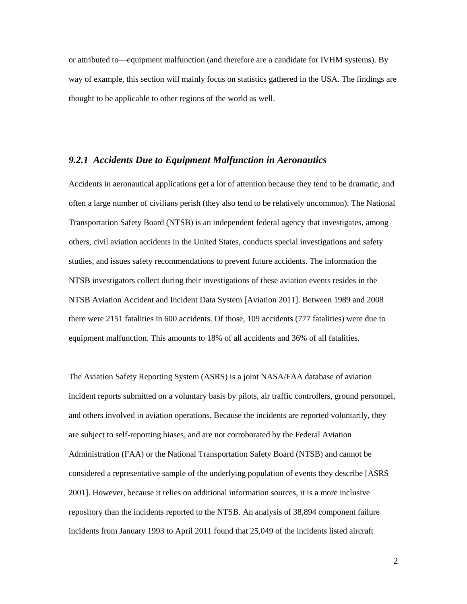or attributed to—equipment malfunction (and therefore are a candidate for IVHM systems). By way of example, this section will mainly focus on statistics gathered in the USA. The findings are thought to be applicable to other regions of the world as well.

# *9.2.1 Accidents Due to Equipment Malfunction in Aeronautics*

Accidents in aeronautical applications get a lot of attention because they tend to be dramatic, and often a large number of civilians perish (they also tend to be relatively uncommon). The National Transportation Safety Board (NTSB) is an independent federal agency that investigates, among others, civil aviation accidents in the United States, conducts special investigations and safety studies, and issues safety recommendations to prevent future accidents. The information the NTSB investigators collect during their investigations of these aviation events resides in the NTSB Aviation Accident and Incident Data System [Aviation 2011]. Between 1989 and 2008 there were 2151 fatalities in 600 accidents. Of those, 109 accidents (777 fatalities) were due to equipment malfunction. This amounts to 18% of all accidents and 36% of all fatalities.

The Aviation Safety Reporting System (ASRS) is a joint NASA/FAA database of aviation incident reports submitted on a voluntary basis by pilots, air traffic controllers, ground personnel, and others involved in aviation operations. Because the incidents are reported voluntarily, they are subject to self-reporting biases, and are not corroborated by the Federal Aviation Administration (FAA) or the National Transportation Safety Board (NTSB) and cannot be considered a representative sample of the underlying population of events they describe [ASRS 2001]. However, because it relies on additional information sources, it is a more inclusive repository than the incidents reported to the NTSB. An analysis of 38,894 component failure incidents from January 1993 to April 2011 found that 25,049 of the incidents listed aircraft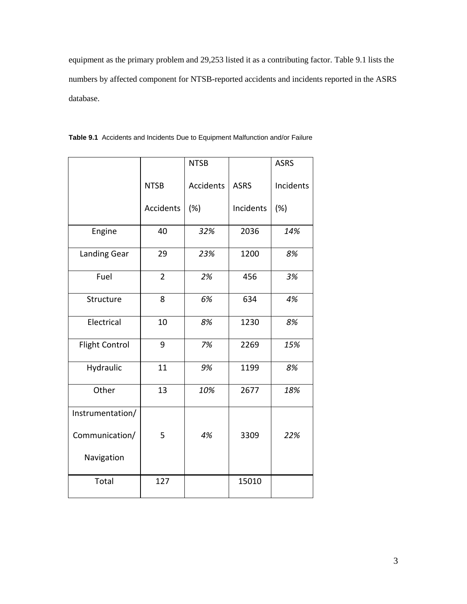equipment as the primary problem and 29,253 listed it as a contributing factor. Table 9.1 lists the numbers by affected component for NTSB-reported accidents and incidents reported in the ASRS database.

|                       |                | <b>NTSB</b> |             | <b>ASRS</b> |
|-----------------------|----------------|-------------|-------------|-------------|
|                       | <b>NTSB</b>    | Accidents   | <b>ASRS</b> | Incidents   |
|                       | Accidents      | (%)         | Incidents   | (%)         |
| Engine                | 40             | 32%         | 2036        | 14%         |
| <b>Landing Gear</b>   | 29             | 23%         | 1200        | 8%          |
| Fuel                  | $\overline{2}$ | 2%          | 456         | 3%          |
| Structure             | 8              | 6%          | 634         | 4%          |
| Electrical            | 10             | 8%          | 1230        | 8%          |
| <b>Flight Control</b> | 9              | 7%          | 2269        | 15%         |
| Hydraulic             | 11             | 9%          | 1199        | 8%          |
| Other                 | 13             | 10%         | 2677        | 18%         |
| Instrumentation/      |                |             |             |             |
| Communication/        | 5              | 4%          | 3309        | 22%         |
| Navigation            |                |             |             |             |
| Total                 | 127            |             | 15010       |             |

**Table 9.1** Accidents and Incidents Due to Equipment Malfunction and/or Failure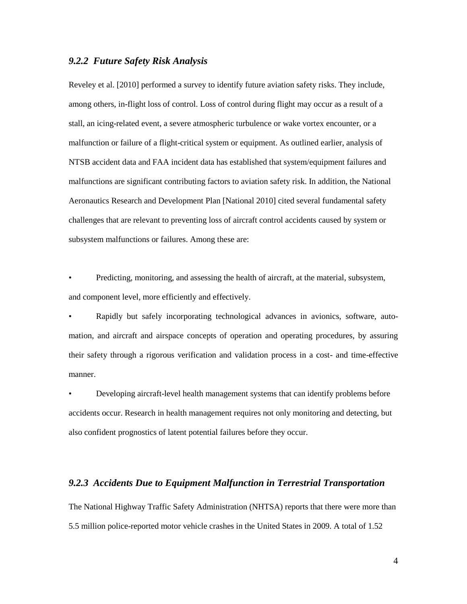#### *9.2.2 Future Safety Risk Analysis*

Reveley et al. [2010] performed a survey to identify future aviation safety risks. They include, among others, in-flight loss of control. Loss of control during flight may occur as a result of a stall, an icing-related event, a severe atmospheric turbulence or wake vortex encounter, or a malfunction or failure of a flight-critical system or equipment. As outlined earlier, analysis of NTSB accident data and FAA incident data has established that system/equipment failures and malfunctions are significant contributing factors to aviation safety risk. In addition, the National Aeronautics Research and Development Plan [National 2010] cited several fundamental safety challenges that are relevant to preventing loss of aircraft control accidents caused by system or subsystem malfunctions or failures. Among these are:

• Predicting, monitoring, and assessing the health of aircraft, at the material, subsystem, and component level, more efficiently and effectively.

• Rapidly but safely incorporating technological advances in avionics, software, automation, and aircraft and airspace concepts of operation and operating procedures, by assuring their safety through a rigorous verification and validation process in a cost- and time-effective manner.

• Developing aircraft-level health management systems that can identify problems before accidents occur. Research in health management requires not only monitoring and detecting, but also confident prognostics of latent potential failures before they occur.

# *9.2.3 Accidents Due to Equipment Malfunction in Terrestrial Transportation*

The National Highway Traffic Safety Administration (NHTSA) reports that there were more than 5.5 million police-reported motor vehicle crashes in the United States in 2009. A total of 1.52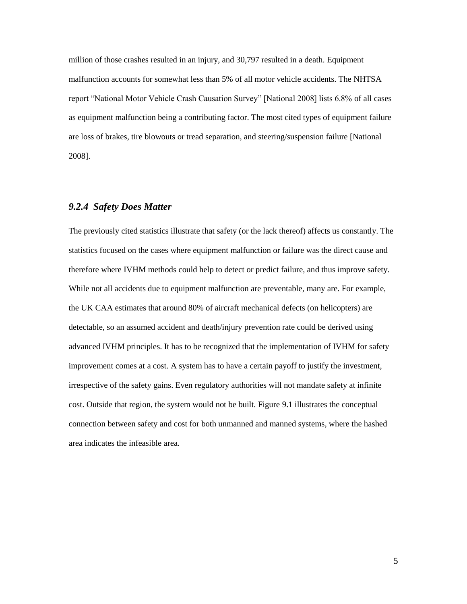million of those crashes resulted in an injury, and 30,797 resulted in a death. Equipment malfunction accounts for somewhat less than 5% of all motor vehicle accidents. The NHTSA report "National Motor Vehicle Crash Causation Survey" [National 2008] lists 6.8% of all cases as equipment malfunction being a contributing factor. The most cited types of equipment failure are loss of brakes, tire blowouts or tread separation, and steering/suspension failure [National 2008].

# *9.2.4 Safety Does Matter*

The previously cited statistics illustrate that safety (or the lack thereof) affects us constantly. The statistics focused on the cases where equipment malfunction or failure was the direct cause and therefore where IVHM methods could help to detect or predict failure, and thus improve safety. While not all accidents due to equipment malfunction are preventable, many are. For example, the UK CAA estimates that around 80% of aircraft mechanical defects (on helicopters) are detectable, so an assumed accident and death/injury prevention rate could be derived using advanced IVHM principles. It has to be recognized that the implementation of IVHM for safety improvement comes at a cost. A system has to have a certain payoff to justify the investment, irrespective of the safety gains. Even regulatory authorities will not mandate safety at infinite cost. Outside that region, the system would not be built. Figure 9.1 illustrates the conceptual connection between safety and cost for both unmanned and manned systems, where the hashed area indicates the infeasible area.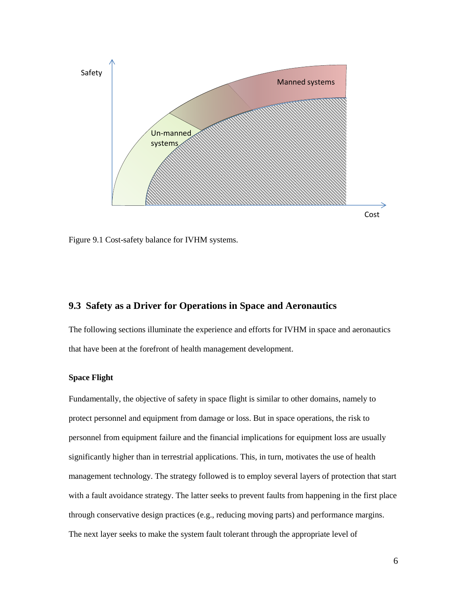

Figure 9.1 Cost-safety balance for IVHM systems.

# **9.3 Safety as a Driver for Operations in Space and Aeronautics**

The following sections illuminate the experience and efforts for IVHM in space and aeronautics that have been at the forefront of health management development.

# **Space Flight**

Fundamentally, the objective of safety in space flight is similar to other domains, namely to protect personnel and equipment from damage or loss. But in space operations, the risk to personnel from equipment failure and the financial implications for equipment loss are usually significantly higher than in terrestrial applications. This, in turn, motivates the use of health management technology. The strategy followed is to employ several layers of protection that start with a fault avoidance strategy. The latter seeks to prevent faults from happening in the first place through conservative design practices (e.g., reducing moving parts) and performance margins. The next layer seeks to make the system fault tolerant through the appropriate level of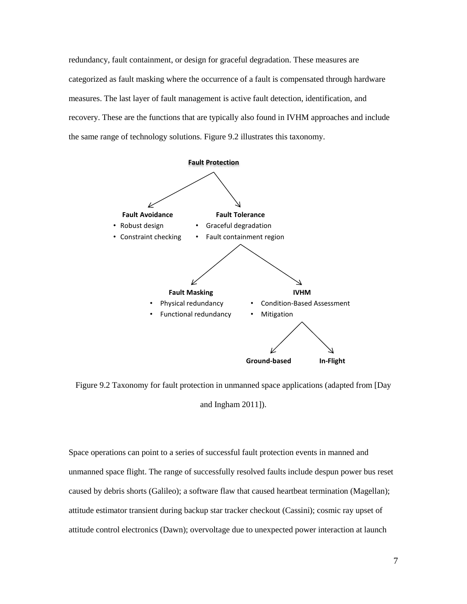redundancy, fault containment, or design for graceful degradation. These measures are categorized as fault masking where the occurrence of a fault is compensated through hardware measures. The last layer of fault management is active fault detection, identification, and recovery. These are the functions that are typically also found in IVHM approaches and include the same range of technology solutions. Figure 9.2 illustrates this taxonomy.



Figure 9.2 Taxonomy for fault protection in unmanned space applications (adapted from [Day and Ingham 2011]).

Space operations can point to a series of successful fault protection events in manned and unmanned space flight. The range of successfully resolved faults include despun power bus reset caused by debris shorts (Galileo); a software flaw that caused heartbeat termination (Magellan); attitude estimator transient during backup star tracker checkout (Cassini); cosmic ray upset of attitude control electronics (Dawn); overvoltage due to unexpected power interaction at launch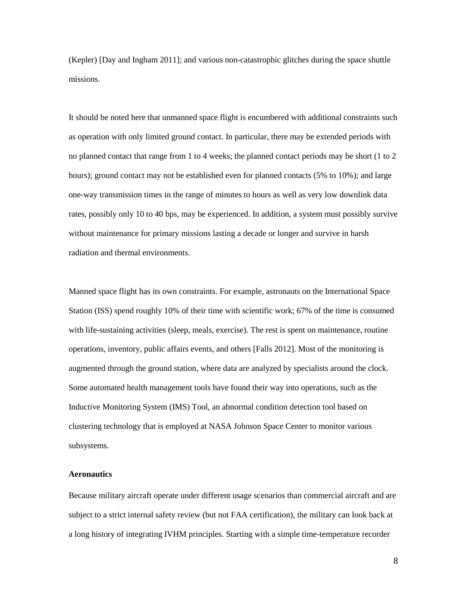(Kepler) [Day and Ingham 2011]; and various non-catastrophic glitches during the space shuttle missions.

It should be noted here that unmanned space flight is encumbered with additional constraints such as operation with only limited ground contact. In particular, there may be extended periods with no planned contact that range from 1 to 4 weeks; the planned contact periods may be short (1 to 2 hours); ground contact may not be established even for planned contacts (5% to 10%); and large one-way transmission times in the range of minutes to hours as well as very low downlink data rates, possibly only 10 to 40 bps, may be experienced. In addition, a system must possibly survive without maintenance for primary missions lasting a decade or longer and survive in harsh radiation and thermal environments.

Manned space flight has its own constraints. For example, astronauts on the International Space Station (ISS) spend roughly 10% of their time with scientific work; 67% of the time is consumed with life-sustaining activities (sleep, meals, exercise). The rest is spent on maintenance, routine operations, inventory, public affairs events, and others [Falls 2012]. Most of the monitoring is augmented through the ground station, where data are analyzed by specialists around the clock. Some automated health management tools have found their way into operations, such as the Inductive Monitoring System (IMS) Tool, an abnormal condition detection tool based on clustering technology that is employed at NASA Johnson Space Center to monitor various subsystems.

#### **Aeronautics**

Because military aircraft operate under different usage scenarios than commercial aircraft and are subject to a strict internal safety review (but not FAA certification), the military can look back at a long history of integrating IVHM principles. Starting with a simple time-temperature recorder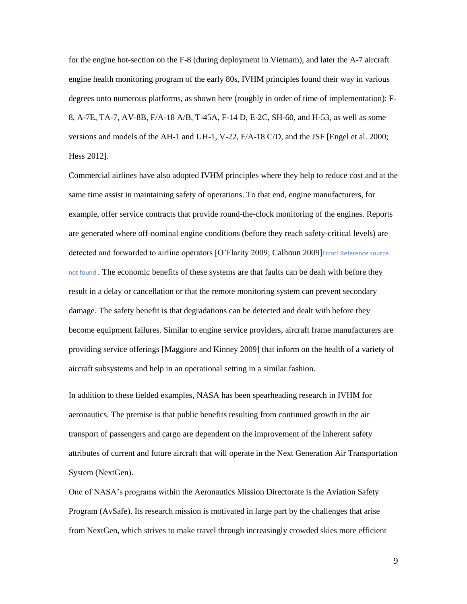for the engine hot-section on the F-8 (during deployment in Vietnam), and later the A-7 aircraft engine health monitoring program of the early 80s, IVHM principles found their way in various degrees onto numerous platforms, as shown here (roughly in order of time of implementation): F-8, A-7E, TA-7, AV-8B, F/A-18 A/B, T-45A, F-14 D, E-2C, SH-60, and H-53, as well as some versions and models of the AH-1 and UH-1, V-22, F/A-18 C/D, and the JSF [Engel et al. 2000; Hess 2012].

Commercial airlines have also adopted IVHM principles where they help to reduce cost and at the same time assist in maintaining safety of operations. To that end, engine manufacturers, for example, offer service contracts that provide round-the-clock monitoring of the engines. Reports are generated where off-nominal engine conditions (before they reach safety-critical levels) are detected and forwarded to airline operators [O'Flarity 2009; Calhoun 2009]Error! Reference source not found.. The economic benefits of these systems are that faults can be dealt with before they result in a delay or cancellation or that the remote monitoring system can prevent secondary damage. The safety benefit is that degradations can be detected and dealt with before they become equipment failures. Similar to engine service providers, aircraft frame manufacturers are providing service offerings [Maggiore and Kinney 2009] that inform on the health of a variety of aircraft subsystems and help in an operational setting in a similar fashion.

In addition to these fielded examples, NASA has been spearheading research in IVHM for aeronautics. The premise is that public benefits resulting from continued growth in the air transport of passengers and cargo are dependent on the improvement of the inherent safety attributes of current and future aircraft that will operate in the Next Generation Air Transportation System (NextGen).

One of NASA's programs within the Aeronautics Mission Directorate is the Aviation Safety Program (AvSafe). Its research mission is motivated in large part by the challenges that arise from NextGen, which strives to make travel through increasingly crowded skies more efficient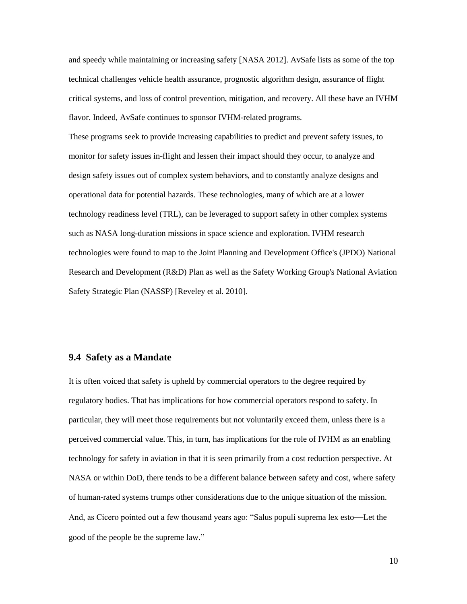and speedy while maintaining or increasing safety [NASA 2012]. AvSafe lists as some of the top technical challenges vehicle health assurance, prognostic algorithm design, assurance of flight critical systems, and loss of control prevention, mitigation, and recovery. All these have an IVHM flavor. Indeed, AvSafe continues to sponsor IVHM-related programs.

These programs seek to provide increasing capabilities to predict and prevent safety issues, to monitor for safety issues in-flight and lessen their impact should they occur, to analyze and design safety issues out of complex system behaviors, and to constantly analyze designs and operational data for potential hazards. These technologies, many of which are at a lower technology readiness level (TRL), can be leveraged to support safety in other complex systems such as NASA long-duration missions in space science and exploration. IVHM research technologies were found to map to the Joint Planning and Development Office's (JPDO) National Research and Development (R&D) Plan as well as the Safety Working Group's National Aviation Safety Strategic Plan (NASSP) [Reveley et al. 2010].

# **9.4 Safety as a Mandate**

It is often voiced that safety is upheld by commercial operators to the degree required by regulatory bodies. That has implications for how commercial operators respond to safety. In particular, they will meet those requirements but not voluntarily exceed them, unless there is a perceived commercial value. This, in turn, has implications for the role of IVHM as an enabling technology for safety in aviation in that it is seen primarily from a cost reduction perspective. At NASA or within DoD, there tends to be a different balance between safety and cost, where safety of human-rated systems trumps other considerations due to the unique situation of the mission. And, as Cicero pointed out a few thousand years ago: "Salus populi suprema lex esto—Let the good of the people be the supreme law."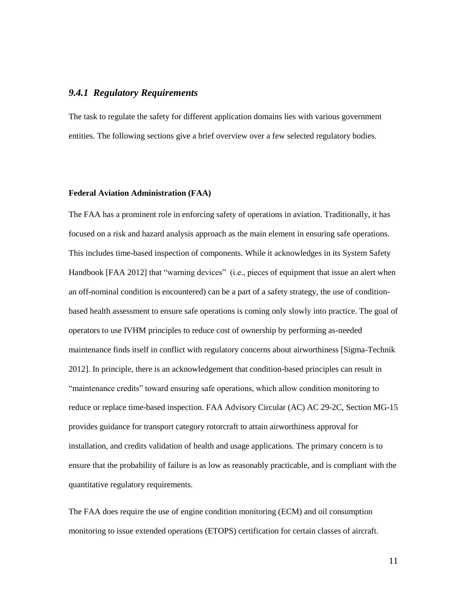# *9.4.1 Regulatory Requirements*

The task to regulate the safety for different application domains lies with various government entities. The following sections give a brief overview over a few selected regulatory bodies.

#### **Federal Aviation Administration (FAA)**

The FAA has a prominent role in enforcing safety of operations in aviation. Traditionally, it has focused on a risk and hazard analysis approach as the main element in ensuring safe operations. This includes time-based inspection of components. While it acknowledges in its System Safety Handbook [FAA 2012] that "warning devices" (i.e., pieces of equipment that issue an alert when an off-nominal condition is encountered) can be a part of a safety strategy, the use of conditionbased health assessment to ensure safe operations is coming only slowly into practice. The goal of operators to use IVHM principles to reduce cost of ownership by performing as-needed maintenance finds itself in conflict with regulatory concerns about airworthiness [Sigma-Technik 2012]. In principle, there is an acknowledgement that condition-based principles can result in "maintenance credits" toward ensuring safe operations, which allow condition monitoring to reduce or replace time-based inspection. FAA Advisory Circular (AC) AC 29-2C, Section MG-15 provides guidance for transport category rotorcraft to attain airworthiness approval for installation, and credits validation of health and usage applications. The primary concern is to ensure that the probability of failure is as low as reasonably practicable, and is compliant with the quantitative regulatory requirements.

The FAA does require the use of engine condition monitoring (ECM) and oil consumption monitoring to issue extended operations (ETOPS) certification for certain classes of aircraft.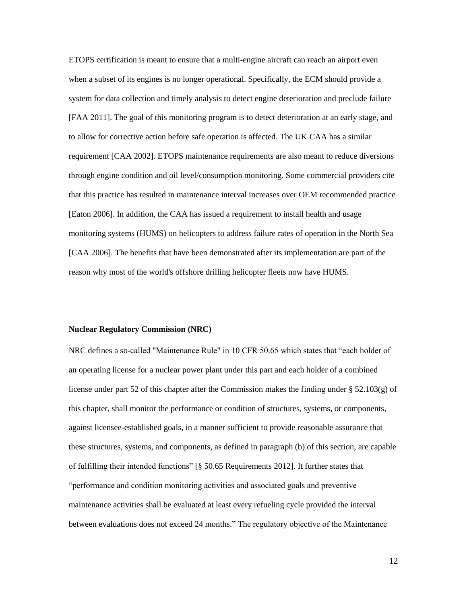ETOPS certification is meant to ensure that a multi-engine aircraft can reach an airport even when a subset of its engines is no longer operational. Specifically, the ECM should provide a system for data collection and timely analysis to detect engine deterioration and preclude failure [FAA 2011]. The goal of this monitoring program is to detect deterioration at an early stage, and to allow for corrective action before safe operation is affected. The UK CAA has a similar requirement [CAA 2002]. ETOPS maintenance requirements are also meant to reduce diversions through engine condition and oil level/consumption monitoring. Some commercial providers cite that this practice has resulted in maintenance interval increases over OEM recommended practice [Eaton 2006]. In addition, the CAA has issued a requirement to install health and usage monitoring systems (HUMS) on helicopters to address failure rates of operation in the North Sea [CAA 2006]. The benefits that have been demonstrated after its implementation are part of the reason why most of the world's offshore drilling helicopter fleets now have HUMS.

#### **Nuclear Regulatory Commission (NRC)**

NRC defines a so-called "Maintenance Rule" in 10 CFR 50.65 which states that "each holder of an operating license for a nuclear power plant under this part and each holder of a combined license under part 52 of this chapter after the Commission makes the finding under § 52.103(g) of this chapter, shall monitor the performance or condition of structures, systems, or components, against licensee-established goals, in a manner sufficient to provide reasonable assurance that these structures, systems, and components, as defined in paragraph (b) of this section, are capable of fulfilling their intended functions" [§ 50.65 Requirements 2012]. It further states that "performance and condition monitoring activities and associated goals and preventive maintenance activities shall be evaluated at least every refueling cycle provided the interval between evaluations does not exceed 24 months." The regulatory objective of the Maintenance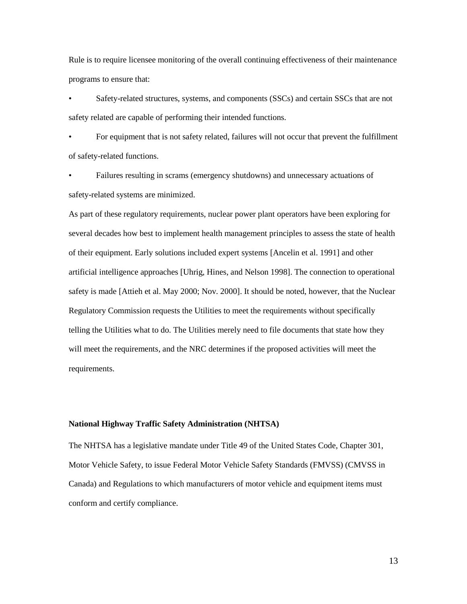Rule is to require licensee monitoring of the overall continuing effectiveness of their maintenance programs to ensure that:

• Safety-related structures, systems, and components (SSCs) and certain SSCs that are not safety related are capable of performing their intended functions.

• For equipment that is not safety related, failures will not occur that prevent the fulfillment of safety-related functions.

• Failures resulting in scrams (emergency shutdowns) and unnecessary actuations of safety-related systems are minimized.

As part of these regulatory requirements, nuclear power plant operators have been exploring for several decades how best to implement health management principles to assess the state of health of their equipment. Early solutions included expert systems [Ancelin et al. 1991] and other artificial intelligence approaches [Uhrig, Hines, and Nelson 1998]. The connection to operational safety is made [Attieh et al. May 2000; Nov. 2000]. It should be noted, however, that the Nuclear Regulatory Commission requests the Utilities to meet the requirements without specifically telling the Utilities what to do. The Utilities merely need to file documents that state how they will meet the requirements, and the NRC determines if the proposed activities will meet the requirements.

#### **National Highway Traffic Safety Administration (NHTSA)**

The NHTSA has a legislative mandate under Title 49 of the United States Code, Chapter 301, Motor Vehicle Safety, to issue Federal Motor Vehicle Safety Standards (FMVSS) (CMVSS in Canada) and Regulations to which manufacturers of motor vehicle and equipment items must conform and certify compliance.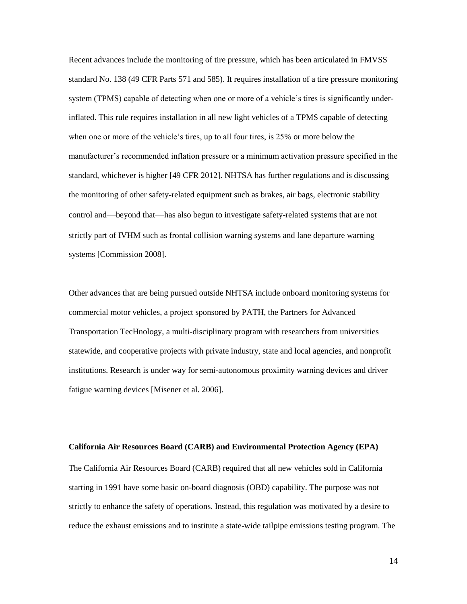Recent advances include the monitoring of tire pressure, which has been articulated in FMVSS standard No. 138 (49 CFR Parts 571 and 585). It requires installation of a tire pressure monitoring system (TPMS) capable of detecting when one or more of a vehicle's tires is significantly underinflated. This rule requires installation in all new light vehicles of a TPMS capable of detecting when one or more of the vehicle's tires, up to all four tires, is 25% or more below the manufacturer's recommended inflation pressure or a minimum activation pressure specified in the standard, whichever is higher [49 CFR 2012]. NHTSA has further regulations and is discussing the monitoring of other safety-related equipment such as brakes, air bags, electronic stability control and—beyond that—has also begun to investigate safety-related systems that are not strictly part of IVHM such as frontal collision warning systems and lane departure warning systems [Commission 2008].

Other advances that are being pursued outside NHTSA include onboard monitoring systems for commercial motor vehicles, a project sponsored by PATH, the Partners for Advanced Transportation TecHnology, a multi-disciplinary program with researchers from universities statewide, and cooperative projects with private industry, state and local agencies, and nonprofit institutions. Research is under way for semi-autonomous proximity warning devices and driver fatigue warning devices [Misener et al. 2006].

#### **California Air Resources Board (CARB) and Environmental Protection Agency (EPA)**

The California Air Resources Board (CARB) required that all new vehicles sold in California starting in 1991 have some basic on-board diagnosis (OBD) capability. The purpose was not strictly to enhance the safety of operations. Instead, this regulation was motivated by a desire to reduce the exhaust emissions and to institute a state-wide tailpipe emissions testing program. The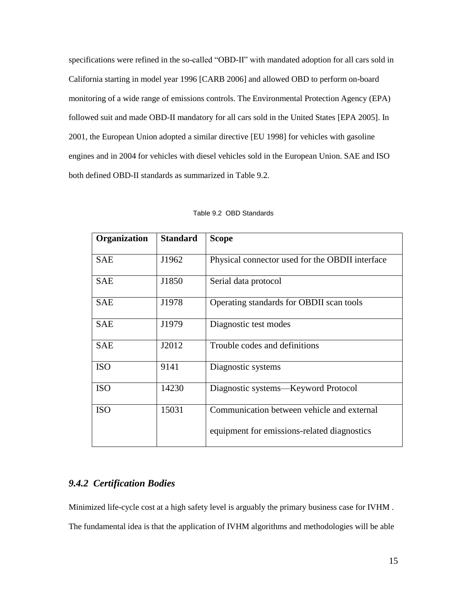specifications were refined in the so-called "OBD-II" with mandated adoption for all cars sold in California starting in model year 1996 [CARB 2006] and allowed OBD to perform on-board monitoring of a wide range of emissions controls. The Environmental Protection Agency (EPA) followed suit and made OBD-II mandatory for all cars sold in the United States [EPA 2005]. In 2001, the European Union adopted a similar directive [EU 1998] for vehicles with gasoline engines and in 2004 for vehicles with diesel vehicles sold in the European Union. SAE and ISO both defined OBD-II standards as summarized in Table 9.2.

| Organization | <b>Standard</b> | <b>Scope</b>                                    |
|--------------|-----------------|-------------------------------------------------|
| <b>SAE</b>   | J1962           | Physical connector used for the OBDII interface |
| <b>SAE</b>   | J1850           | Serial data protocol                            |
| <b>SAE</b>   | J1978           | Operating standards for OBDII scan tools        |
| <b>SAE</b>   | J1979           | Diagnostic test modes                           |
| <b>SAE</b>   | J2012           | Trouble codes and definitions                   |
| <b>ISO</b>   | 9141            | Diagnostic systems                              |
| <b>ISO</b>   | 14230           | Diagnostic systems—Keyword Protocol             |
| <b>ISO</b>   | 15031           | Communication between vehicle and external      |
|              |                 | equipment for emissions-related diagnostics     |

|  | Table 9.2 OBD Standards |
|--|-------------------------|
|  |                         |

# *9.4.2 Certification Bodies*

Minimized life-cycle cost at a high safety level is arguably the primary business case for IVHM . The fundamental idea is that the application of IVHM algorithms and methodologies will be able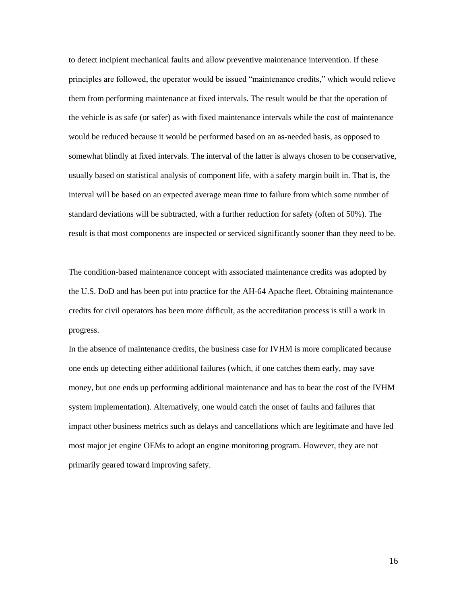to detect incipient mechanical faults and allow preventive maintenance intervention. If these principles are followed, the operator would be issued "maintenance credits," which would relieve them from performing maintenance at fixed intervals. The result would be that the operation of the vehicle is as safe (or safer) as with fixed maintenance intervals while the cost of maintenance would be reduced because it would be performed based on an as-needed basis, as opposed to somewhat blindly at fixed intervals. The interval of the latter is always chosen to be conservative, usually based on statistical analysis of component life, with a safety margin built in. That is, the interval will be based on an expected average mean time to failure from which some number of standard deviations will be subtracted, with a further reduction for safety (often of 50%). The result is that most components are inspected or serviced significantly sooner than they need to be.

The condition-based maintenance concept with associated maintenance credits was adopted by the U.S. DoD and has been put into practice for the AH-64 Apache fleet. Obtaining maintenance credits for civil operators has been more difficult, as the accreditation process is still a work in progress.

In the absence of maintenance credits, the business case for IVHM is more complicated because one ends up detecting either additional failures (which, if one catches them early, may save money, but one ends up performing additional maintenance and has to bear the cost of the IVHM system implementation). Alternatively, one would catch the onset of faults and failures that impact other business metrics such as delays and cancellations which are legitimate and have led most major jet engine OEMs to adopt an engine monitoring program. However, they are not primarily geared toward improving safety.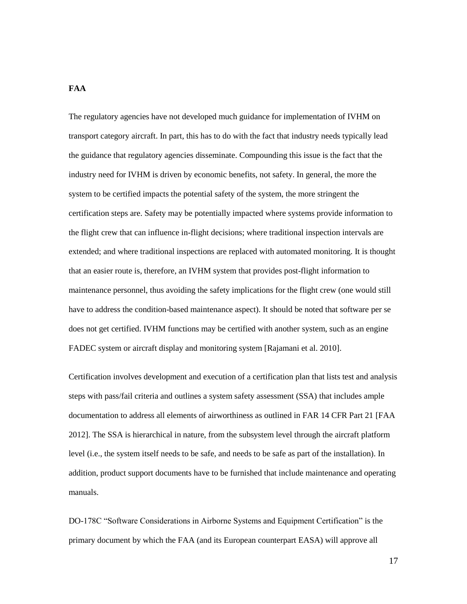### **FAA**

The regulatory agencies have not developed much guidance for implementation of IVHM on transport category aircraft. In part, this has to do with the fact that industry needs typically lead the guidance that regulatory agencies disseminate. Compounding this issue is the fact that the industry need for IVHM is driven by economic benefits, not safety. In general, the more the system to be certified impacts the potential safety of the system, the more stringent the certification steps are. Safety may be potentially impacted where systems provide information to the flight crew that can influence in-flight decisions; where traditional inspection intervals are extended; and where traditional inspections are replaced with automated monitoring. It is thought that an easier route is, therefore, an IVHM system that provides post-flight information to maintenance personnel, thus avoiding the safety implications for the flight crew (one would still have to address the condition-based maintenance aspect). It should be noted that software per se does not get certified. IVHM functions may be certified with another system, such as an engine FADEC system or aircraft display and monitoring system [Rajamani et al. 2010].

Certification involves development and execution of a certification plan that lists test and analysis steps with pass/fail criteria and outlines a system safety assessment (SSA) that includes ample documentation to address all elements of airworthiness as outlined in FAR 14 CFR Part 21 [FAA 2012]. The SSA is hierarchical in nature, from the subsystem level through the aircraft platform level (i.e., the system itself needs to be safe, and needs to be safe as part of the installation). In addition, product support documents have to be furnished that include maintenance and operating manuals.

DO-178C "Software Considerations in Airborne Systems and Equipment Certification" is the primary document by which the FAA (and its European counterpart EASA) will approve all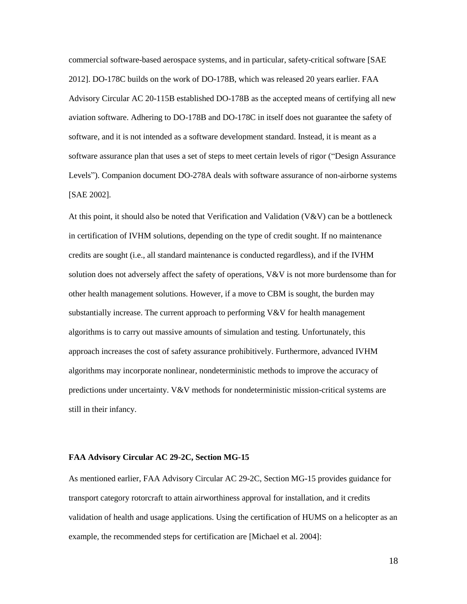commercial software-based aerospace systems, and in particular, safety-critical software [SAE 2012]. DO-178C builds on the work of DO-178B, which was released 20 years earlier. FAA Advisory Circular AC 20-115B established DO-178B as the accepted means of certifying all new aviation software. Adhering to DO-178B and DO-178C in itself does not guarantee the safety of software, and it is not intended as a software development standard. Instead, it is meant as a software assurance plan that uses a set of steps to meet certain levels of rigor ("Design Assurance Levels"). Companion document DO-278A deals with software assurance of non-airborne systems [SAE 2002].

At this point, it should also be noted that Verification and Validation (V&V) can be a bottleneck in certification of IVHM solutions, depending on the type of credit sought. If no maintenance credits are sought (i.e., all standard maintenance is conducted regardless), and if the IVHM solution does not adversely affect the safety of operations, V&V is not more burdensome than for other health management solutions. However, if a move to CBM is sought, the burden may substantially increase. The current approach to performing  $V&V$  for health management algorithms is to carry out massive amounts of simulation and testing. Unfortunately, this approach increases the cost of safety assurance prohibitively. Furthermore, advanced IVHM algorithms may incorporate nonlinear, nondeterministic methods to improve the accuracy of predictions under uncertainty. V&V methods for nondeterministic mission-critical systems are still in their infancy.

#### **FAA Advisory Circular AC 29-2C, Section MG-15**

As mentioned earlier, FAA Advisory Circular AC 29-2C, Section MG-15 provides guidance for transport category rotorcraft to attain airworthiness approval for installation, and it credits validation of health and usage applications. Using the certification of HUMS on a helicopter as an example, the recommended steps for certification are [Michael et al. 2004]: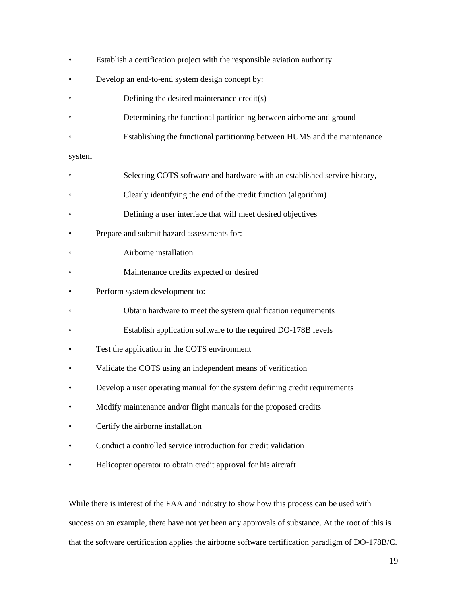- Establish a certification project with the responsible aviation authority
- Develop an end-to-end system design concept by:
- Defining the desired maintenance credit(s)
- Determining the functional partitioning between airborne and ground
- Establishing the functional partitioning between HUMS and the maintenance

#### system

- Selecting COTS software and hardware with an established service history,
- Clearly identifying the end of the credit function (algorithm)
- Defining a user interface that will meet desired objectives
- Prepare and submit hazard assessments for:
- Airborne installation
- Maintenance credits expected or desired
- Perform system development to:
- Obtain hardware to meet the system qualification requirements
- Establish application software to the required DO-178B levels
- Test the application in the COTS environment
- Validate the COTS using an independent means of verification
- Develop a user operating manual for the system defining credit requirements
- Modify maintenance and/or flight manuals for the proposed credits
- Certify the airborne installation
- Conduct a controlled service introduction for credit validation
- Helicopter operator to obtain credit approval for his aircraft

While there is interest of the FAA and industry to show how this process can be used with success on an example, there have not yet been any approvals of substance. At the root of this is that the software certification applies the airborne software certification paradigm of DO-178B/C.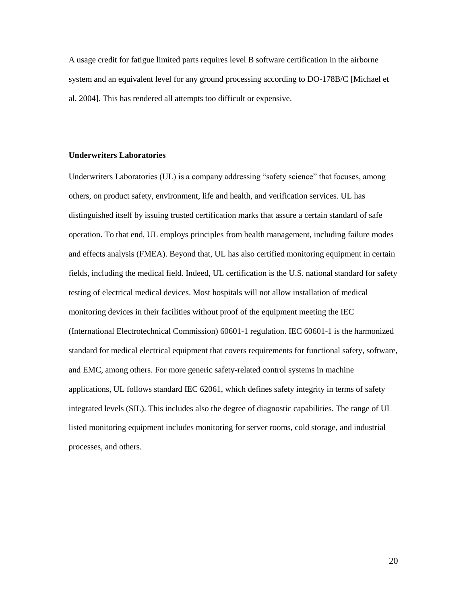A usage credit for fatigue limited parts requires level B software certification in the airborne system and an equivalent level for any ground processing according to DO-178B/C [Michael et al. 2004]. This has rendered all attempts too difficult or expensive.

#### **Underwriters Laboratories**

Underwriters Laboratories (UL) is a company addressing "safety science" that focuses, among others, on product safety, environment, life and health, and verification services. UL has distinguished itself by issuing trusted certification marks that assure a certain standard of safe operation. To that end, UL employs principles from health management, including failure modes and effects analysis (FMEA). Beyond that, UL has also certified monitoring equipment in certain fields, including the medical field. Indeed, UL certification is the U.S. national standard for safety testing of electrical medical devices. Most hospitals will not allow installation of medical monitoring devices in their facilities without proof of the equipment meeting the IEC (International Electrotechnical Commission) 60601-1 regulation. IEC 60601-1 is the harmonized standard for medical electrical equipment that covers requirements for functional safety, software, and EMC, among others. For more generic safety-related control systems in machine applications, UL follows standard IEC 62061, which defines safety integrity in terms of safety integrated levels (SIL). This includes also the degree of diagnostic capabilities. The range of UL listed monitoring equipment includes monitoring for server rooms, cold storage, and industrial processes, and others.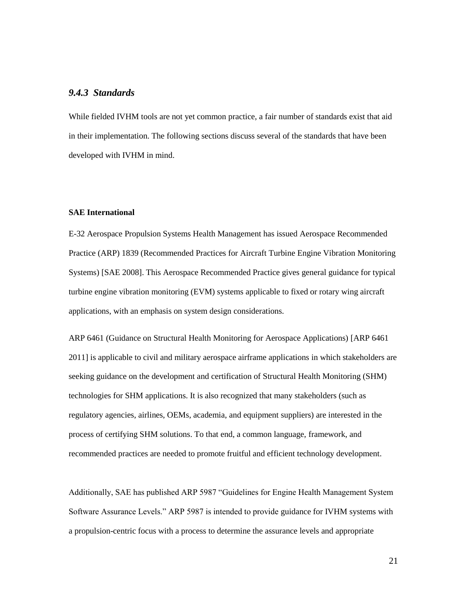# *9.4.3 Standards*

While fielded IVHM tools are not yet common practice, a fair number of standards exist that aid in their implementation. The following sections discuss several of the standards that have been developed with IVHM in mind.

#### **SAE International**

E-32 Aerospace Propulsion Systems Health Management has issued Aerospace Recommended Practice (ARP) 1839 (Recommended Practices for Aircraft Turbine Engine Vibration Monitoring Systems) [SAE 2008]. This Aerospace Recommended Practice gives general guidance for typical turbine engine vibration monitoring (EVM) systems applicable to fixed or rotary wing aircraft applications, with an emphasis on system design considerations.

ARP 6461 (Guidance on Structural Health Monitoring for Aerospace Applications) [ARP 6461 2011] is applicable to civil and military aerospace airframe applications in which stakeholders are seeking guidance on the development and certification of Structural Health Monitoring (SHM) technologies for SHM applications. It is also recognized that many stakeholders (such as regulatory agencies, airlines, OEMs, academia, and equipment suppliers) are interested in the process of certifying SHM solutions. To that end, a common language, framework, and recommended practices are needed to promote fruitful and efficient technology development.

Additionally, SAE has published ARP 5987 "Guidelines for Engine Health Management System Software Assurance Levels." ARP 5987 is intended to provide guidance for IVHM systems with a propulsion-centric focus with a process to determine the assurance levels and appropriate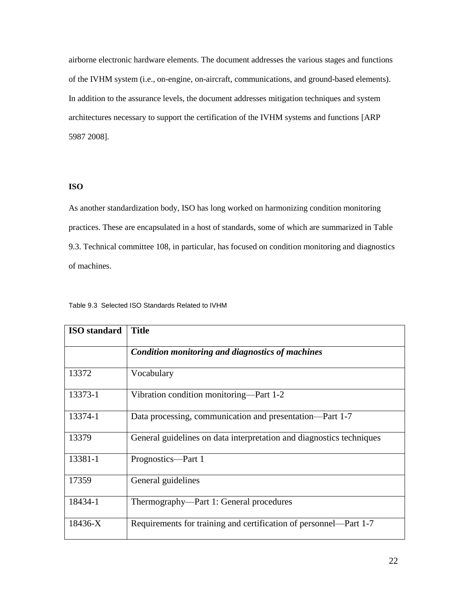airborne electronic hardware elements. The document addresses the various stages and functions of the IVHM system (i.e., on-engine, on-aircraft, communications, and ground-based elements). In addition to the assurance levels, the document addresses mitigation techniques and system architectures necessary to support the certification of the IVHM systems and functions [ARP 5987 2008].

# **ISO**

As another standardization body, ISO has long worked on harmonizing condition monitoring practices. These are encapsulated in a host of standards, some of which are summarized in Table 9.3. Technical committee 108, in particular, has focused on condition monitoring and diagnostics of machines.

|  | Table 9.3 Selected ISO Standards Related to IVHM |  |  |  |
|--|--------------------------------------------------|--|--|--|
|--|--------------------------------------------------|--|--|--|

| <b>ISO</b> standard | <b>Title</b>                                                         |
|---------------------|----------------------------------------------------------------------|
|                     | Condition monitoring and diagnostics of machines                     |
| 13372               | Vocabulary                                                           |
| 13373-1             | Vibration condition monitoring—Part 1-2                              |
| 13374-1             | Data processing, communication and presentation—Part 1-7             |
| 13379               | General guidelines on data interpretation and diagnostics techniques |
| 13381-1             | Prognostics—Part 1                                                   |
| 17359               | General guidelines                                                   |
| 18434-1             | Thermography—Part 1: General procedures                              |
| 18436-X             | Requirements for training and certification of personnel-Part 1-7    |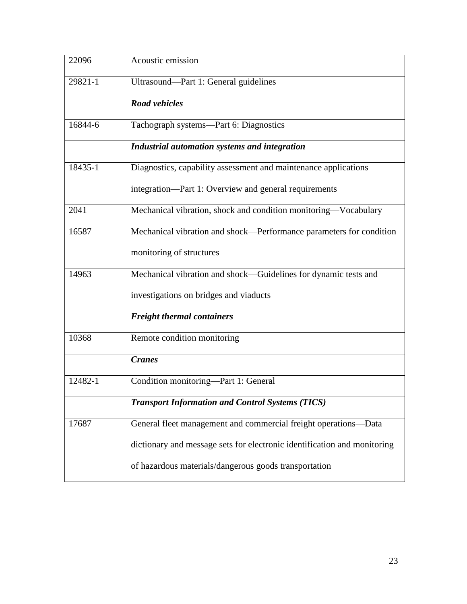| 22096   | Acoustic emission                                                        |
|---------|--------------------------------------------------------------------------|
| 29821-1 | Ultrasound-Part 1: General guidelines                                    |
|         | <b>Road vehicles</b>                                                     |
| 16844-6 | Tachograph systems—Part 6: Diagnostics                                   |
|         | Industrial automation systems and integration                            |
| 18435-1 | Diagnostics, capability assessment and maintenance applications          |
|         | integration—Part 1: Overview and general requirements                    |
| 2041    | Mechanical vibration, shock and condition monitoring-Vocabulary          |
| 16587   | Mechanical vibration and shock—Performance parameters for condition      |
|         | monitoring of structures                                                 |
| 14963   | Mechanical vibration and shock—Guidelines for dynamic tests and          |
|         | investigations on bridges and viaducts                                   |
|         | <b>Freight thermal containers</b>                                        |
| 10368   | Remote condition monitoring                                              |
|         | <b>Cranes</b>                                                            |
| 12482-1 | Condition monitoring-Part 1: General                                     |
|         | <b>Transport Information and Control Systems (TICS)</b>                  |
| 17687   | General fleet management and commercial freight operations-Data          |
|         | dictionary and message sets for electronic identification and monitoring |
|         | of hazardous materials/dangerous goods transportation                    |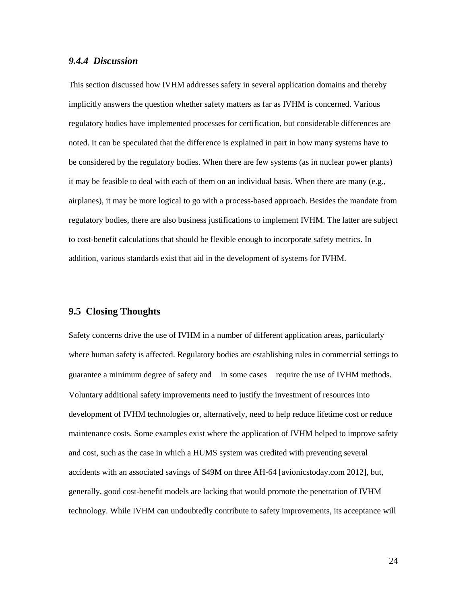#### *9.4.4 Discussion*

This section discussed how IVHM addresses safety in several application domains and thereby implicitly answers the question whether safety matters as far as IVHM is concerned. Various regulatory bodies have implemented processes for certification, but considerable differences are noted. It can be speculated that the difference is explained in part in how many systems have to be considered by the regulatory bodies. When there are few systems (as in nuclear power plants) it may be feasible to deal with each of them on an individual basis. When there are many (e.g., airplanes), it may be more logical to go with a process-based approach. Besides the mandate from regulatory bodies, there are also business justifications to implement IVHM. The latter are subject to cost-benefit calculations that should be flexible enough to incorporate safety metrics. In addition, various standards exist that aid in the development of systems for IVHM.

# **9.5 Closing Thoughts**

Safety concerns drive the use of IVHM in a number of different application areas, particularly where human safety is affected. Regulatory bodies are establishing rules in commercial settings to guarantee a minimum degree of safety and—in some cases—require the use of IVHM methods. Voluntary additional safety improvements need to justify the investment of resources into development of IVHM technologies or, alternatively, need to help reduce lifetime cost or reduce maintenance costs. Some examples exist where the application of IVHM helped to improve safety and cost, such as the case in which a HUMS system was credited with preventing several accidents with an associated savings of \$49M on three AH-64 [avionicstoday.com 2012], but, generally, good cost-benefit models are lacking that would promote the penetration of IVHM technology. While IVHM can undoubtedly contribute to safety improvements, its acceptance will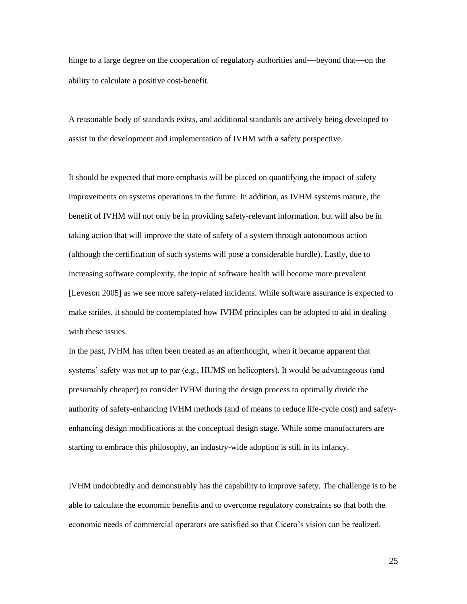hinge to a large degree on the cooperation of regulatory authorities and—beyond that—on the ability to calculate a positive cost-benefit.

A reasonable body of standards exists, and additional standards are actively being developed to assist in the development and implementation of IVHM with a safety perspective.

It should be expected that more emphasis will be placed on quantifying the impact of safety improvements on systems operations in the future. In addition, as IVHM systems mature, the benefit of IVHM will not only be in providing safety-relevant information. but will also be in taking action that will improve the state of safety of a system through autonomous action (although the certification of such systems will pose a considerable hurdle). Lastly, due to increasing software complexity, the topic of software health will become more prevalent [Leveson 2005] as we see more safety-related incidents. While software assurance is expected to make strides, it should be contemplated how IVHM principles can be adopted to aid in dealing with these issues.

In the past, IVHM has often been treated as an afterthought, when it became apparent that systems' safety was not up to par (e.g., HUMS on helicopters). It would be advantageous (and presumably cheaper) to consider IVHM during the design process to optimally divide the authority of safety-enhancing IVHM methods (and of means to reduce life-cycle cost) and safetyenhancing design modifications at the conceptual design stage. While some manufacturers are starting to embrace this philosophy, an industry-wide adoption is still in its infancy.

IVHM undoubtedly and demonstrably has the capability to improve safety. The challenge is to be able to calculate the economic benefits and to overcome regulatory constraints so that both the economic needs of commercial operators are satisfied so that Cicero's vision can be realized.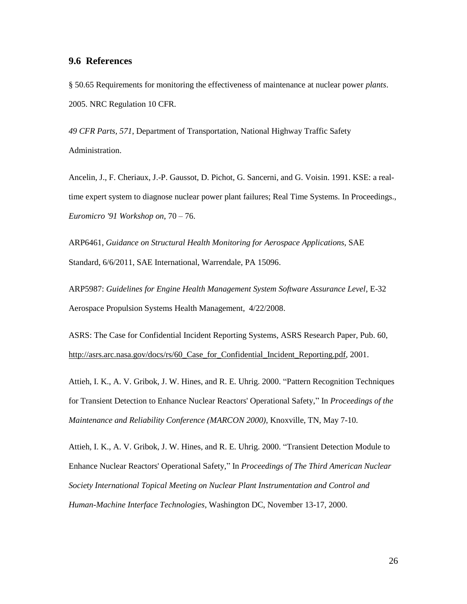# **9.6 References**

§ 50.65 Requirements for monitoring the effectiveness of maintenance at nuclear power *plants*. 2005. NRC Regulation 10 CFR.

*49 CFR Parts, 571*, Department of Transportation, National Highway Traffic Safety Administration.

Ancelin, J., F. Cheriaux, J.-P. Gaussot, D. Pichot, G. Sancerni, and G. Voisin. 1991. KSE: a realtime expert system to diagnose nuclear power plant failures; Real Time Systems. In Proceedings., *Euromicro '91 Workshop on*, 70 – 76.

ARP6461, *Guidance on Structural Health Monitoring for Aerospace Applications*, SAE Standard, 6/6/2011, SAE International, Warrendale, PA 15096.

ARP5987: *Guidelines for Engine Health Management System Software Assurance Level*, E-32 Aerospace Propulsion Systems Health Management, 4/22/2008.

ASRS: The Case for Confidential Incident Reporting Systems, ASRS Research Paper, Pub. 60, http://asrs.arc.nasa.gov/docs/rs/60 Case for Confidential Incident Reporting.pdf, 2001.

Attieh, I. K., A. V. Gribok, J. W. Hines, and R. E. Uhrig. 2000. "Pattern Recognition Techniques for Transient Detection to Enhance Nuclear Reactors' Operational Safety," In *Proceedings of the Maintenance and Reliability Conference (MARCON 2000)*, Knoxville, TN, May 7-10.

Attieh, I. K., A. V. Gribok, J. W. Hines, and R. E. Uhrig. 2000. "Transient Detection Module to Enhance Nuclear Reactors' Operational Safety," In *Proceedings of The Third American Nuclear Society International Topical Meeting on Nuclear Plant Instrumentation and Control and Human-Machine Interface Technologies*, Washington DC, November 13-17, 2000.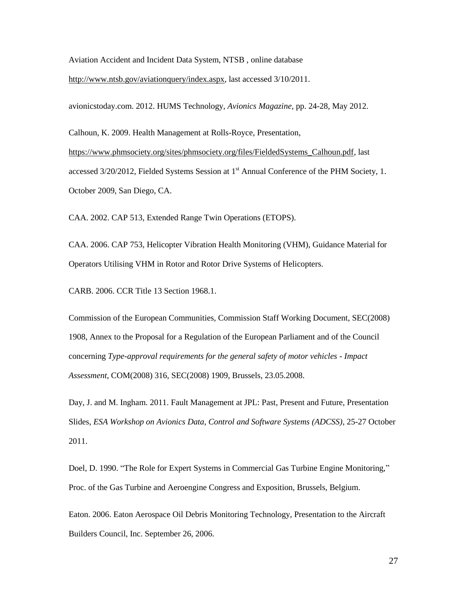Aviation Accident and Incident Data System, NTSB , online database [http://www.ntsb.gov/aviationquery/index.aspx,](http://www.ntsb.gov/aviationquery/index.aspx) last accessed 3/10/2011.

avionicstoday.com. 2012. HUMS Technology, *Avionics Magazine*, pp. 24-28, May 2012.

Calhoun, K. 2009. Health Management at Rolls-Royce, Presentation, [https://www.phmsociety.org/sites/phmsociety.org/files/FieldedSystems\\_Calhoun.pdf,](https://www.phmsociety.org/sites/phmsociety.org/files/FieldedSystems_Calhoun.pdf) last accessed 3/20/2012, Fielded Systems Session at 1<sup>st</sup> Annual Conference of the PHM Society, 1. October 2009, San Diego, CA.

CAA. 2002. CAP 513, Extended Range Twin Operations (ETOPS).

CAA. 2006. CAP 753, Helicopter Vibration Health Monitoring (VHM), Guidance Material for Operators Utilising VHM in Rotor and Rotor Drive Systems of Helicopters.

CARB. 2006. CCR Title 13 Section 1968.1.

Commission of the European Communities, Commission Staff Working Document, SEC(2008) 1908, Annex to the Proposal for a Regulation of the European Parliament and of the Council concerning *Type-approval requirements for the general safety of motor vehicles - Impact Assessment*, COM(2008) 316, SEC(2008) 1909, Brussels, 23.05.2008.

Day, J. and M. Ingham. 2011. Fault Management at JPL: Past, Present and Future, Presentation Slides, *ESA Workshop on Avionics Data, Control and Software Systems (ADCSS)*, 25-27 October 2011.

Doel, D. 1990. "The Role for Expert Systems in Commercial Gas Turbine Engine Monitoring," Proc. of the Gas Turbine and Aeroengine Congress and Exposition, Brussels, Belgium.

Eaton. 2006. Eaton Aerospace Oil Debris Monitoring Technology, Presentation to the Aircraft Builders Council, Inc. September 26, 2006.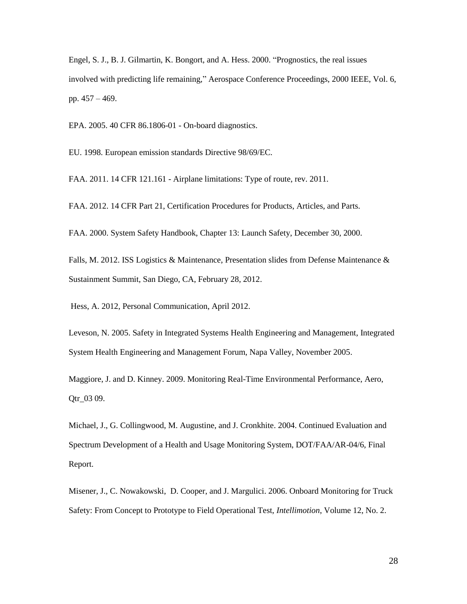Engel, S. J., B. J. Gilmartin, K. Bongort, and A. Hess. 2000. "Prognostics, the real issues involved with predicting life remaining," Aerospace Conference Proceedings, 2000 IEEE, Vol. 6, pp. 457 – 469.

EPA. 2005. 40 CFR 86.1806-01 - On-board diagnostics.

EU. 1998. European emission standards Directive 98/69/EC.

FAA. 2011. 14 CFR 121.161 - Airplane limitations: Type of route, rev. 2011.

FAA. 2012. 14 CFR Part 21, Certification Procedures for Products, Articles, and Parts.

FAA. 2000. System Safety Handbook, Chapter 13: Launch Safety, December 30, 2000.

Falls, M. 2012. ISS Logistics & Maintenance, Presentation slides from Defense Maintenance & Sustainment Summit, San Diego, CA, February 28, 2012.

Hess, A. 2012, Personal Communication, April 2012.

Leveson, N. 2005. Safety in Integrated Systems Health Engineering and Management, Integrated System Health Engineering and Management Forum, Napa Valley, November 2005.

Maggiore, J. and D. Kinney. 2009. Monitoring Real-Time Environmental Performance, Aero, Qtr\_03 09.

Michael, J., G. Collingwood, M. Augustine, and J. Cronkhite. 2004. Continued Evaluation and Spectrum Development of a Health and Usage Monitoring System, DOT/FAA/AR-04/6, Final Report.

Misener, J., C. Nowakowski, D. Cooper, and J. Margulici. 2006. Onboard Monitoring for Truck Safety: From Concept to Prototype to Field Operational Test, *Intellimotion*, Volume 12, No. 2.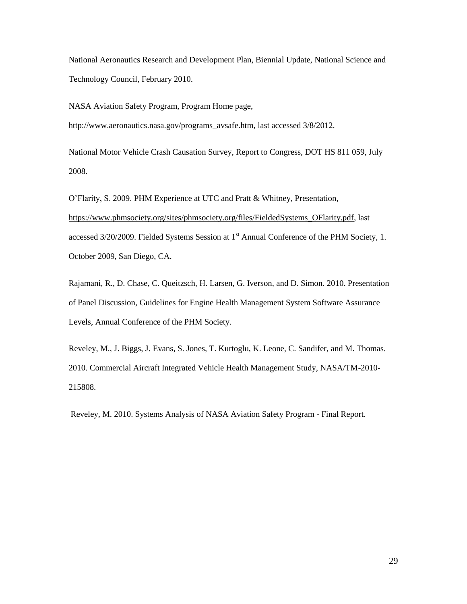National Aeronautics Research and Development Plan, Biennial Update, National Science and Technology Council, February 2010.

NASA Aviation Safety Program, Program Home page,

[http://www.aeronautics.nasa.gov/programs\\_avsafe.htm,](http://www.aeronautics.nasa.gov/programs_avsafe.htm) last accessed 3/8/2012.

National Motor Vehicle Crash Causation Survey, Report to Congress, DOT HS 811 059, July 2008.

O'Flarity, S. 2009. PHM Experience at UTC and Pratt & Whitney, Presentation, [https://www.phmsociety.org/sites/phmsociety.org/files/FieldedSystems\\_OFlarity.pdf,](https://www.phmsociety.org/sites/phmsociety.org/files/FieldedSystems_OFlarity.pdf) last accessed 3/20/2009. Fielded Systems Session at 1<sup>st</sup> Annual Conference of the PHM Society, 1. October 2009, San Diego, CA.

Rajamani, R., D. Chase, C. Queitzsch, H. Larsen, G. Iverson, and D. Simon. 2010. Presentation of Panel Discussion, Guidelines for Engine Health Management System Software Assurance Levels, Annual Conference of the PHM Society.

Reveley, M., J. Biggs, J. Evans, S. Jones, T. Kurtoglu, K. Leone, C. Sandifer, and M. Thomas. 2010. Commercial Aircraft Integrated Vehicle Health Management Study, NASA/TM-2010- 215808.

Reveley, M. 2010. Systems Analysis of NASA Aviation Safety Program - Final Report.